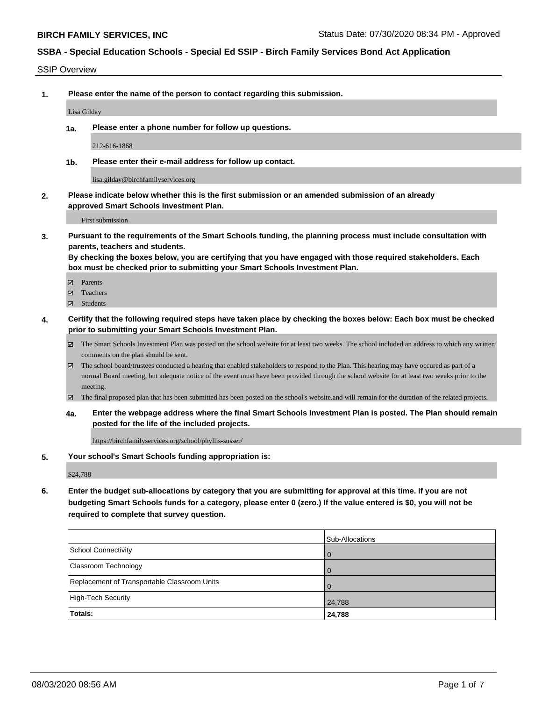#### SSIP Overview

**1. Please enter the name of the person to contact regarding this submission.**

#### Lisa Gilday

**1a. Please enter a phone number for follow up questions.**

212-616-1868

**1b. Please enter their e-mail address for follow up contact.**

lisa.gilday@birchfamilyservices.org

**2. Please indicate below whether this is the first submission or an amended submission of an already approved Smart Schools Investment Plan.**

First submission

**3. Pursuant to the requirements of the Smart Schools funding, the planning process must include consultation with parents, teachers and students.**

**By checking the boxes below, you are certifying that you have engaged with those required stakeholders. Each box must be checked prior to submitting your Smart Schools Investment Plan.**

- Parents
- Teachers
- Students
- **4. Certify that the following required steps have taken place by checking the boxes below: Each box must be checked prior to submitting your Smart Schools Investment Plan.**
	- The Smart Schools Investment Plan was posted on the school website for at least two weeks. The school included an address to which any written comments on the plan should be sent.
	- The school board/trustees conducted a hearing that enabled stakeholders to respond to the Plan. This hearing may have occured as part of a normal Board meeting, but adequate notice of the event must have been provided through the school website for at least two weeks prior to the meeting.
	- The final proposed plan that has been submitted has been posted on the school's website.and will remain for the duration of the related projects.
	- **4a. Enter the webpage address where the final Smart Schools Investment Plan is posted. The Plan should remain posted for the life of the included projects.**

https://birchfamilyservices.org/school/phyllis-susser/

**5. Your school's Smart Schools funding appropriation is:**

\$24,788

**6. Enter the budget sub-allocations by category that you are submitting for approval at this time. If you are not budgeting Smart Schools funds for a category, please enter 0 (zero.) If the value entered is \$0, you will not be required to complete that survey question.**

|                                              | Sub-Allocations |
|----------------------------------------------|-----------------|
| School Connectivity                          | 0               |
| Classroom Technology                         |                 |
| Replacement of Transportable Classroom Units | $\Omega$        |
| High-Tech Security                           | 24,788          |
| <b>Totals:</b>                               | 24,788          |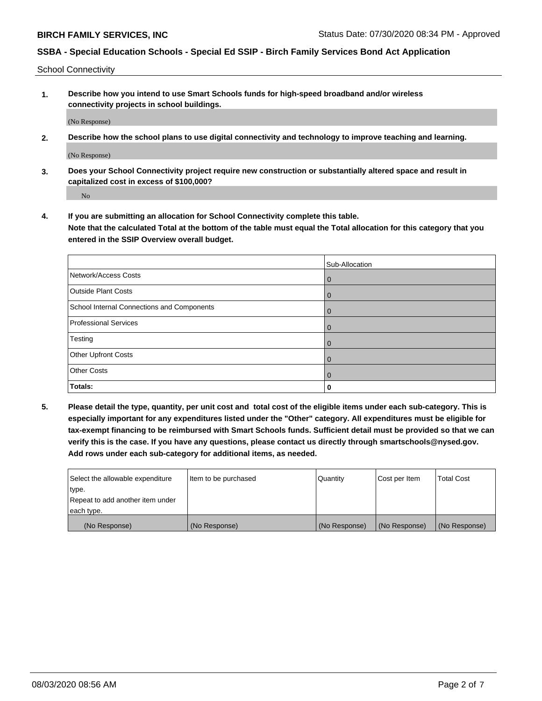School Connectivity

**1. Describe how you intend to use Smart Schools funds for high-speed broadband and/or wireless connectivity projects in school buildings.**

(No Response)

**2. Describe how the school plans to use digital connectivity and technology to improve teaching and learning.**

(No Response)

**3. Does your School Connectivity project require new construction or substantially altered space and result in capitalized cost in excess of \$100,000?**

No

**4. If you are submitting an allocation for School Connectivity complete this table. Note that the calculated Total at the bottom of the table must equal the Total allocation for this category that you entered in the SSIP Overview overall budget.** 

|                                            | Sub-Allocation |
|--------------------------------------------|----------------|
| Network/Access Costs                       | $\mathbf{0}$   |
| <b>Outside Plant Costs</b>                 | $\mathbf{0}$   |
| School Internal Connections and Components | $\Omega$       |
| <b>Professional Services</b>               | $\mathbf{0}$   |
| Testing                                    | $\mathbf{0}$   |
| <b>Other Upfront Costs</b>                 | $\Omega$       |
| <b>Other Costs</b>                         | $\Omega$       |
| Totals:                                    | 0              |

**5. Please detail the type, quantity, per unit cost and total cost of the eligible items under each sub-category. This is especially important for any expenditures listed under the "Other" category. All expenditures must be eligible for tax-exempt financing to be reimbursed with Smart Schools funds. Sufficient detail must be provided so that we can verify this is the case. If you have any questions, please contact us directly through smartschools@nysed.gov. Add rows under each sub-category for additional items, as needed.**

| Select the allowable expenditure | Item to be purchased | Quantity      | Cost per Item | <b>Total Cost</b> |
|----------------------------------|----------------------|---------------|---------------|-------------------|
| ∣type.                           |                      |               |               |                   |
| Repeat to add another item under |                      |               |               |                   |
| each type.                       |                      |               |               |                   |
| (No Response)                    | (No Response)        | (No Response) | (No Response) | (No Response)     |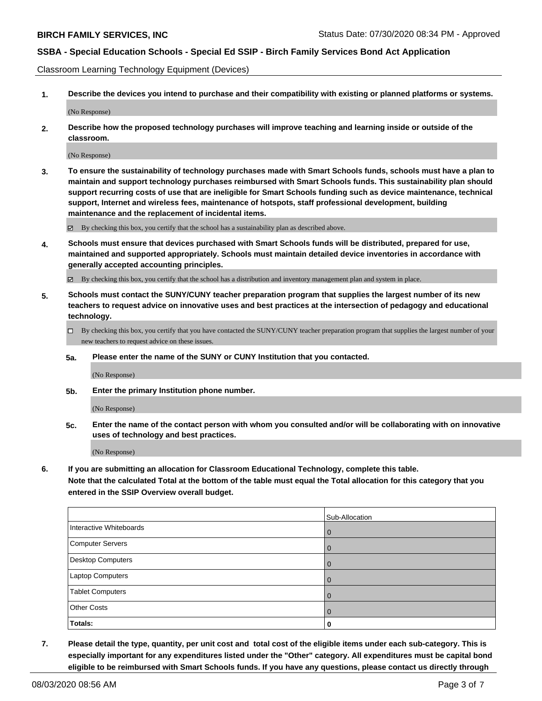Classroom Learning Technology Equipment (Devices)

**1. Describe the devices you intend to purchase and their compatibility with existing or planned platforms or systems.**

(No Response)

**2. Describe how the proposed technology purchases will improve teaching and learning inside or outside of the classroom.**

(No Response)

**3. To ensure the sustainability of technology purchases made with Smart Schools funds, schools must have a plan to maintain and support technology purchases reimbursed with Smart Schools funds. This sustainability plan should support recurring costs of use that are ineligible for Smart Schools funding such as device maintenance, technical support, Internet and wireless fees, maintenance of hotspots, staff professional development, building maintenance and the replacement of incidental items.**

 $\boxtimes$  By checking this box, you certify that the school has a sustainability plan as described above.

**4. Schools must ensure that devices purchased with Smart Schools funds will be distributed, prepared for use, maintained and supported appropriately. Schools must maintain detailed device inventories in accordance with generally accepted accounting principles.**

By checking this box, you certify that the school has a distribution and inventory management plan and system in place.

- **5. Schools must contact the SUNY/CUNY teacher preparation program that supplies the largest number of its new teachers to request advice on innovative uses and best practices at the intersection of pedagogy and educational technology.**
	- By checking this box, you certify that you have contacted the SUNY/CUNY teacher preparation program that supplies the largest number of your new teachers to request advice on these issues.
	- **5a. Please enter the name of the SUNY or CUNY Institution that you contacted.**

(No Response)

**5b. Enter the primary Institution phone number.**

(No Response)

**5c. Enter the name of the contact person with whom you consulted and/or will be collaborating with on innovative uses of technology and best practices.**

(No Response)

**6. If you are submitting an allocation for Classroom Educational Technology, complete this table.**

**Note that the calculated Total at the bottom of the table must equal the Total allocation for this category that you entered in the SSIP Overview overall budget.**

|                          | Sub-Allocation |
|--------------------------|----------------|
| Interactive Whiteboards  | $\Omega$       |
| Computer Servers         |                |
| <b>Desktop Computers</b> | O              |
| <b>Laptop Computers</b>  | $\Omega$       |
| <b>Tablet Computers</b>  | 0              |
| <b>Other Costs</b>       | $\Omega$       |
| Totals:                  |                |

**7. Please detail the type, quantity, per unit cost and total cost of the eligible items under each sub-category. This is especially important for any expenditures listed under the "Other" category. All expenditures must be capital bond eligible to be reimbursed with Smart Schools funds. If you have any questions, please contact us directly through**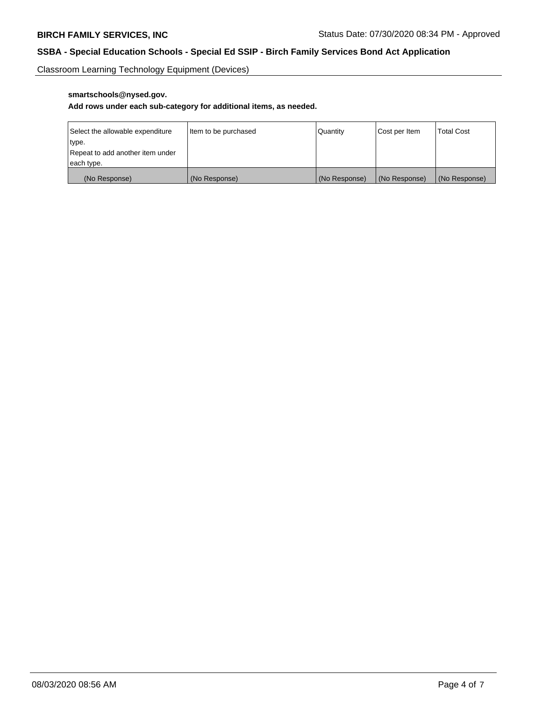Classroom Learning Technology Equipment (Devices)

# **smartschools@nysed.gov.**

# **Add rows under each sub-category for additional items, as needed.**

| Select the allowable expenditure | Item to be purchased | Quantity      | Cost per Item | <b>Total Cost</b> |
|----------------------------------|----------------------|---------------|---------------|-------------------|
| type.                            |                      |               |               |                   |
| Repeat to add another item under |                      |               |               |                   |
| each type.                       |                      |               |               |                   |
| (No Response)                    | (No Response)        | (No Response) | (No Response) | (No Response)     |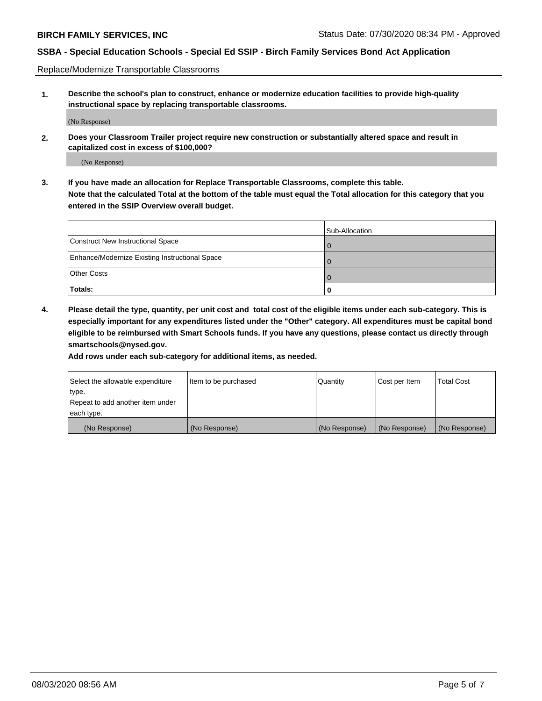Replace/Modernize Transportable Classrooms

**1. Describe the school's plan to construct, enhance or modernize education facilities to provide high-quality instructional space by replacing transportable classrooms.**

(No Response)

**2. Does your Classroom Trailer project require new construction or substantially altered space and result in capitalized cost in excess of \$100,000?**

(No Response)

**3. If you have made an allocation for Replace Transportable Classrooms, complete this table. Note that the calculated Total at the bottom of the table must equal the Total allocation for this category that you entered in the SSIP Overview overall budget.**

|                                                | Sub-Allocation |
|------------------------------------------------|----------------|
| Construct New Instructional Space              |                |
| Enhance/Modernize Existing Instructional Space |                |
| Other Costs                                    |                |
| Totals:                                        | O              |

**4. Please detail the type, quantity, per unit cost and total cost of the eligible items under each sub-category. This is especially important for any expenditures listed under the "Other" category. All expenditures must be capital bond eligible to be reimbursed with Smart Schools funds. If you have any questions, please contact us directly through smartschools@nysed.gov.**

**Add rows under each sub-category for additional items, as needed.**

| Select the allowable expenditure | Item to be purchased | Quantity      | Cost per Item | <b>Total Cost</b> |
|----------------------------------|----------------------|---------------|---------------|-------------------|
| 'type.                           |                      |               |               |                   |
| Repeat to add another item under |                      |               |               |                   |
| each type.                       |                      |               |               |                   |
| (No Response)                    | (No Response)        | (No Response) | (No Response) | (No Response)     |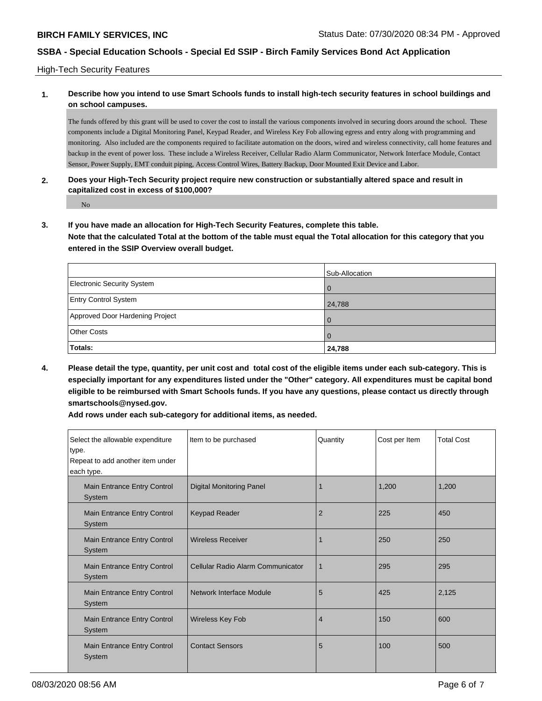High-Tech Security Features

## **1. Describe how you intend to use Smart Schools funds to install high-tech security features in school buildings and on school campuses.**

The funds offered by this grant will be used to cover the cost to install the various components involved in securing doors around the school. These components include a Digital Monitoring Panel, Keypad Reader, and Wireless Key Fob allowing egress and entry along with programming and monitoring. Also included are the components required to facilitate automation on the doors, wired and wireless connectivity, call home features and backup in the event of power loss. These include a Wireless Receiver, Cellular Radio Alarm Communicator, Network Interface Module, Contact Sensor, Power Supply, EMT conduit piping, Access Control Wires, Battery Backup, Door Mounted Exit Device and Labor.

### **2. Does your High-Tech Security project require new construction or substantially altered space and result in capitalized cost in excess of \$100,000?**

No

**3. If you have made an allocation for High-Tech Security Features, complete this table.**

**Note that the calculated Total at the bottom of the table must equal the Total allocation for this category that you entered in the SSIP Overview overall budget.**

|                                   | Sub-Allocation |
|-----------------------------------|----------------|
| <b>Electronic Security System</b> |                |
| <b>Entry Control System</b>       | 24,788         |
| Approved Door Hardening Project   |                |
| <b>Other Costs</b>                |                |
| Totals:                           | 24,788         |

**4. Please detail the type, quantity, per unit cost and total cost of the eligible items under each sub-category. This is especially important for any expenditures listed under the "Other" category. All expenditures must be capital bond eligible to be reimbursed with Smart Schools funds. If you have any questions, please contact us directly through smartschools@nysed.gov.**

**Add rows under each sub-category for additional items, as needed.**

| Select the allowable expenditure<br>type.<br>Repeat to add another item under<br>each type. | Item to be purchased              | Quantity       | Cost per Item | <b>Total Cost</b> |
|---------------------------------------------------------------------------------------------|-----------------------------------|----------------|---------------|-------------------|
| Main Entrance Entry Control<br>System                                                       | <b>Digital Monitoring Panel</b>   |                | 1,200         | 1,200             |
| Main Entrance Entry Control<br>System                                                       | <b>Keypad Reader</b>              | $\overline{2}$ | 225           | 450               |
| Main Entrance Entry Control<br>System                                                       | <b>Wireless Receiver</b>          |                | 250           | 250               |
| Main Entrance Entry Control<br>System                                                       | Cellular Radio Alarm Communicator | 1              | 295           | 295               |
| Main Entrance Entry Control<br>System                                                       | <b>Network Interface Module</b>   | 5              | 425           | 2,125             |
| <b>Main Entrance Entry Control</b><br>System                                                | <b>Wireless Key Fob</b>           | $\overline{4}$ | 150           | 600               |
| Main Entrance Entry Control<br>System                                                       | <b>Contact Sensors</b>            | 5              | 100           | 500               |